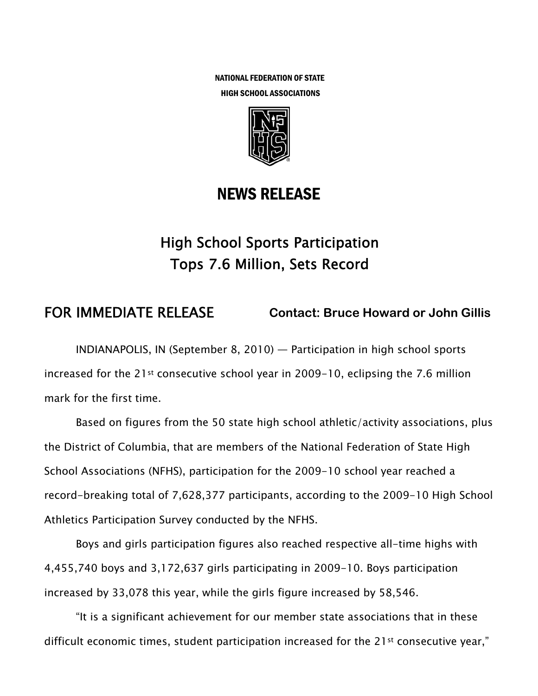NATIONAL FEDERATION OF STATE HIGH SCHOOL ASSOCIATIONS



# NEWS RELEASE

# High School Sports Participation Tops 7.6 Million, Sets Record

# FOR IMMEDIATE RELEASE **Contact: Bruce Howard or John Gillis**

INDIANAPOLIS, IN (September 8, 2010) — Participation in high school sports increased for the 21st consecutive school year in 2009-10, eclipsing the 7.6 million mark for the first time.

Based on figures from the 50 state high school athletic/activity associations, plus the District of Columbia, that are members of the National Federation of State High School Associations (NFHS), participation for the 2009-10 school year reached a record-breaking total of 7,628,377 participants, according to the 2009-10 High School Athletics Participation Survey conducted by the NFHS.

Boys and girls participation figures also reached respective all-time highs with 4,455,740 boys and 3,172,637 girls participating in 2009-10. Boys participation increased by 33,078 this year, while the girls figure increased by 58,546.

"It is a significant achievement for our member state associations that in these difficult economic times, student participation increased for the 21<sup>st</sup> consecutive year,"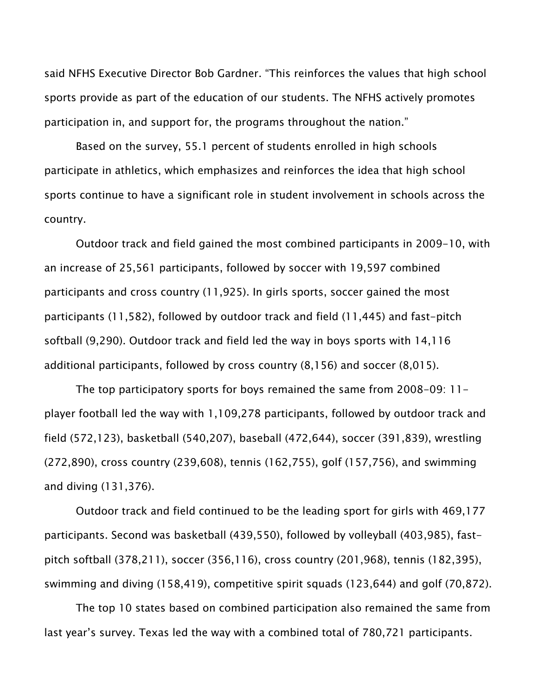said NFHS Executive Director Bob Gardner. "This reinforces the values that high school sports provide as part of the education of our students. The NFHS actively promotes participation in, and support for, the programs throughout the nation."

Based on the survey, 55.1 percent of students enrolled in high schools participate in athletics, which emphasizes and reinforces the idea that high school sports continue to have a significant role in student involvement in schools across the country.

Outdoor track and field gained the most combined participants in 2009-10, with an increase of 25,561 participants, followed by soccer with 19,597 combined participants and cross country (11,925). In girls sports, soccer gained the most participants (11,582), followed by outdoor track and field (11,445) and fast-pitch softball (9,290). Outdoor track and field led the way in boys sports with 14,116 additional participants, followed by cross country (8,156) and soccer (8,015).

The top participatory sports for boys remained the same from 2008-09: 11 player football led the way with 1,109,278 participants, followed by outdoor track and field (572,123), basketball (540,207), baseball (472,644), soccer (391,839), wrestling (272,890), cross country (239,608), tennis (162,755), golf (157,756), and swimming and diving (131,376).

Outdoor track and field continued to be the leading sport for girls with 469,177 participants. Second was basketball (439,550), followed by volleyball (403,985), fastpitch softball (378,211), soccer (356,116), cross country (201,968), tennis (182,395), swimming and diving (158,419), competitive spirit squads (123,644) and golf (70,872).

The top 10 states based on combined participation also remained the same from last year's survey. Texas led the way with a combined total of 780,721 participants.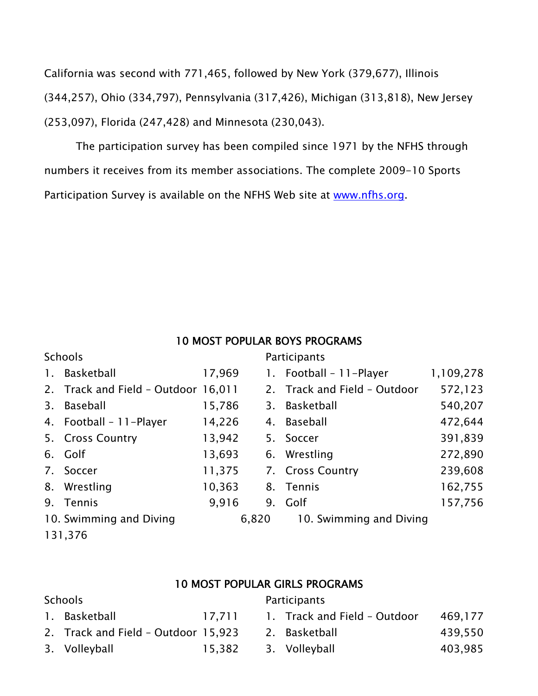California was second with 771,465, followed by New York (379,677), Illinois (344,257), Ohio (334,797), Pennsylvania (317,426), Michigan (313,818), New Jersey (253,097), Florida (247,428) and Minnesota (230,043).

The participation survey has been compiled since 1971 by the NFHS through numbers it receives from its member associations. The complete 2009-10 Sports Participation Survey is available on the NFHS Web site at www.nfhs.org.

#### 10 MOST POPULAR BOYS PROGRAMS

| <b>Schools</b>          |                                     |        | Participants |                              |           |  |
|-------------------------|-------------------------------------|--------|--------------|------------------------------|-----------|--|
| 1.                      | Basketball                          | 17,969 |              | 1. Football - 11-Player      | 1,109,278 |  |
|                         | 2. Track and Field - Outdoor 16,011 |        |              | 2. Track and Field - Outdoor | 572,123   |  |
| 3.                      | Baseball                            | 15,786 |              | 3. Basketball                | 540,207   |  |
|                         | 4. Football - 11-Player             | 14,226 |              | 4. Baseball                  | 472,644   |  |
|                         | 5. Cross Country                    | 13,942 |              | 5. Soccer                    | 391,839   |  |
|                         | 6. Golf                             | 13,693 |              | 6. Wrestling                 | 272,890   |  |
|                         | 7. Soccer                           | 11,375 |              | 7. Cross Country             | 239,608   |  |
| 8.                      | Wrestling                           | 10,363 | 8.           | Tennis                       | 162,755   |  |
| 9.                      | <b>Tennis</b>                       | 9,916  |              | 9. Golf                      | 157,756   |  |
| 10. Swimming and Diving |                                     | 6,820  |              | 10. Swimming and Diving      |           |  |

131,376

### 10 MOST POPULAR GIRLS PROGRAMS

## Schools **Participants** 1. Basketball 17,711 1. Track and Field – Outdoor 469,177 2. Track and Field – Outdoor 15,923 2. Basketball 439,550 3. Volleyball 15,382 3. Volleyball 403,985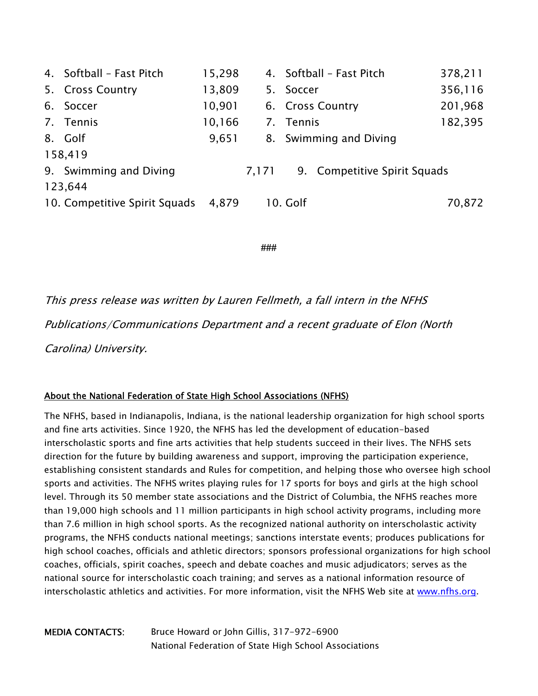|         | 4. Softball - Fast Pitch      | 15,298 |       | 4. Softball - Fast Pitch |                              | 378,211 |  |  |  |
|---------|-------------------------------|--------|-------|--------------------------|------------------------------|---------|--|--|--|
|         | 5. Cross Country              | 13,809 |       | 5. Soccer                |                              | 356,116 |  |  |  |
|         | 6. Soccer                     | 10,901 |       | 6. Cross Country         |                              | 201,968 |  |  |  |
|         | 7. Tennis                     | 10,166 |       | 7. Tennis                |                              | 182,395 |  |  |  |
|         | 8. Golf                       | 9,651  |       |                          | 8. Swimming and Diving       |         |  |  |  |
| 158,419 |                               |        |       |                          |                              |         |  |  |  |
|         | 9. Swimming and Diving        |        | 7,171 |                          | 9. Competitive Spirit Squads |         |  |  |  |
| 123,644 |                               |        |       |                          |                              |         |  |  |  |
|         | 10. Competitive Spirit Squads | 4,879  |       | 10. Golf                 |                              | 70,872  |  |  |  |

**###** 

This press release was written by Lauren Fellmeth, a fall intern in the NFHS Publications/Communications Department and a recent graduate of Elon (North Carolina) University.

#### About the National Federation of State High School Associations (NFHS)

The NFHS, based in Indianapolis, Indiana, is the national leadership organization for high school sports and fine arts activities. Since 1920, the NFHS has led the development of education-based interscholastic sports and fine arts activities that help students succeed in their lives. The NFHS sets direction for the future by building awareness and support, improving the participation experience, establishing consistent standards and Rules for competition, and helping those who oversee high school sports and activities. The NFHS writes playing rules for 17 sports for boys and girls at the high school level. Through its 50 member state associations and the District of Columbia, the NFHS reaches more than 19,000 high schools and 11 million participants in high school activity programs, including more than 7.6 million in high school sports. As the recognized national authority on interscholastic activity programs, the NFHS conducts national meetings; sanctions interstate events; produces publications for high school coaches, officials and athletic directors; sponsors professional organizations for high school coaches, officials, spirit coaches, speech and debate coaches and music adjudicators; serves as the national source for interscholastic coach training; and serves as a national information resource of interscholastic athletics and activities. For more information, visit the NFHS Web site at www.nfhs.org.

MEDIA CONTACTS: Bruce Howard or John Gillis, 317-972-6900 National Federation of State High School Associations